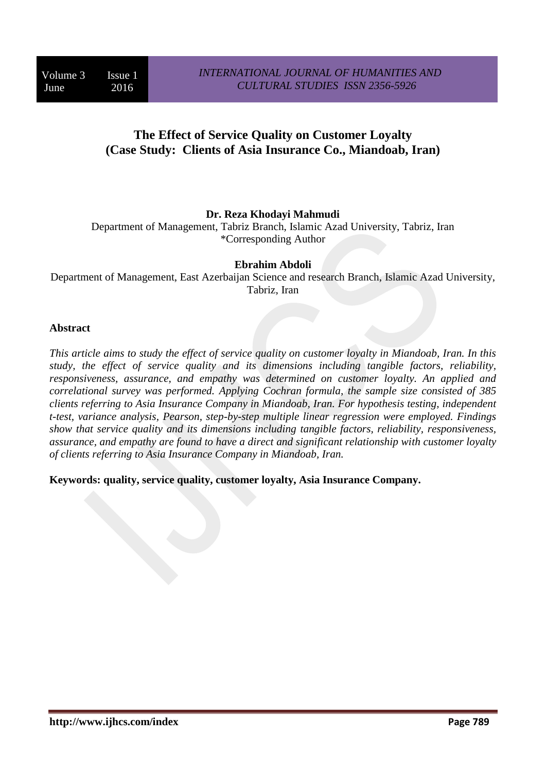# **The Effect of Service Quality on Customer Loyalty (Case Study: Clients of Asia Insurance Co., Miandoab, Iran)**

#### **Dr. Reza Khodayi Mahmudi**

Department of Management, Tabriz Branch, Islamic Azad University, Tabriz, Iran \*Corresponding Author

#### **Ebrahim Abdoli**

Department of Management, East Azerbaijan Science and research Branch, Islamic Azad University, Tabriz, Iran

#### **Abstract**

*This article aims to study the effect of service quality on customer loyalty in Miandoab, Iran. In this study, the effect of service quality and its dimensions including tangible factors, reliability, responsiveness, assurance, and empathy was determined on customer loyalty. An applied and correlational survey was performed. Applying Cochran formula, the sample size consisted of 385 clients referring to Asia Insurance Company in Miandoab, Iran. For hypothesis testing, independent t-test, variance analysis, Pearson, step-by-step multiple linear regression were employed. Findings show that service quality and its dimensions including tangible factors, reliability, responsiveness, assurance, and empathy are found to have a direct and significant relationship with customer loyalty of clients referring to Asia Insurance Company in Miandoab, Iran.*

**Keywords: quality, service quality, customer loyalty, Asia Insurance Company.**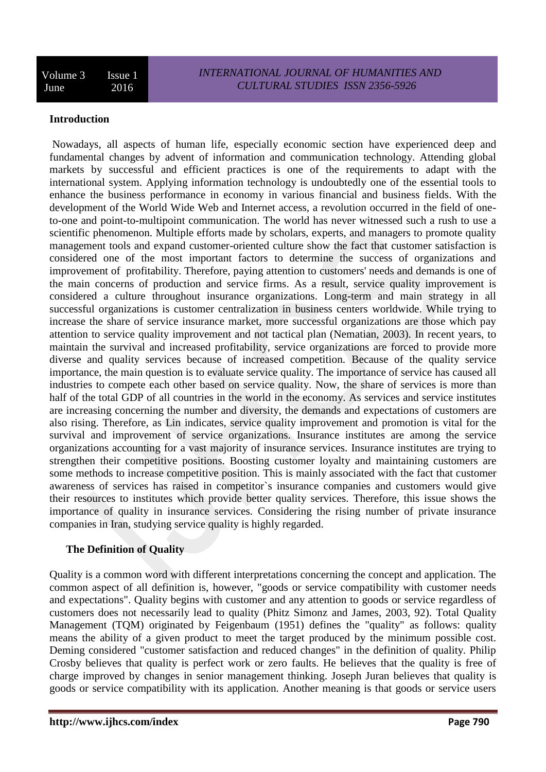#### **Introduction**

Nowadays, all aspects of human life, especially economic section have experienced deep and fundamental changes by advent of information and communication technology. Attending global markets by successful and efficient practices is one of the requirements to adapt with the international system. Applying information technology is undoubtedly one of the essential tools to enhance the business performance in economy in various financial and business fields. With the development of the World Wide Web and Internet access, a revolution occurred in the field of oneto-one and point-to-multipoint communication. The world has never witnessed such a rush to use a scientific phenomenon. Multiple efforts made by scholars, experts, and managers to promote quality management tools and expand customer-oriented culture show the fact that customer satisfaction is considered one of the most important factors to determine the success of organizations and improvement of profitability. Therefore, paying attention to customers' needs and demands is one of the main concerns of production and service firms. As a result, service quality improvement is considered a culture throughout insurance organizations. Long-term and main strategy in all successful organizations is customer centralization in business centers worldwide. While trying to increase the share of service insurance market, more successful organizations are those which pay attention to service quality improvement and not tactical plan (Nematian, 2003). In recent years, to maintain the survival and increased profitability, service organizations are forced to provide more diverse and quality services because of increased competition. Because of the quality service importance, the main question is to evaluate service quality. The importance of service has caused all industries to compete each other based on service quality. Now, the share of services is more than half of the total GDP of all countries in the world in the economy. As services and service institutes are increasing concerning the number and diversity, the demands and expectations of customers are also rising. Therefore, as Lin indicates, service quality improvement and promotion is vital for the survival and improvement of service organizations. Insurance institutes are among the service organizations accounting for a vast majority of insurance services. Insurance institutes are trying to strengthen their competitive positions. Boosting customer loyalty and maintaining customers are some methods to increase competitive position. This is mainly associated with the fact that customer awareness of services has raised in competitor`s insurance companies and customers would give their resources to institutes which provide better quality services. Therefore, this issue shows the importance of quality in insurance services. Considering the rising number of private insurance companies in Iran, studying service quality is highly regarded.

## **The Definition of Quality**

Quality is a common word with different interpretations concerning the concept and application. The common aspect of all definition is, however, "goods or service compatibility with customer needs and expectations". Quality begins with customer and any attention to goods or service regardless of customers does not necessarily lead to quality (Phitz Simonz and James, 2003, 92). Total Quality Management (TQM) originated by Feigenbaum (1951) defines the "quality" as follows: quality means the ability of a given product to meet the target produced by the minimum possible cost. Deming considered "customer satisfaction and reduced changes" in the definition of quality. Philip Crosby believes that quality is perfect work or zero faults. He believes that the quality is free of charge improved by changes in senior management thinking. Joseph Juran believes that quality is goods or service compatibility with its application. Another meaning is that goods or service users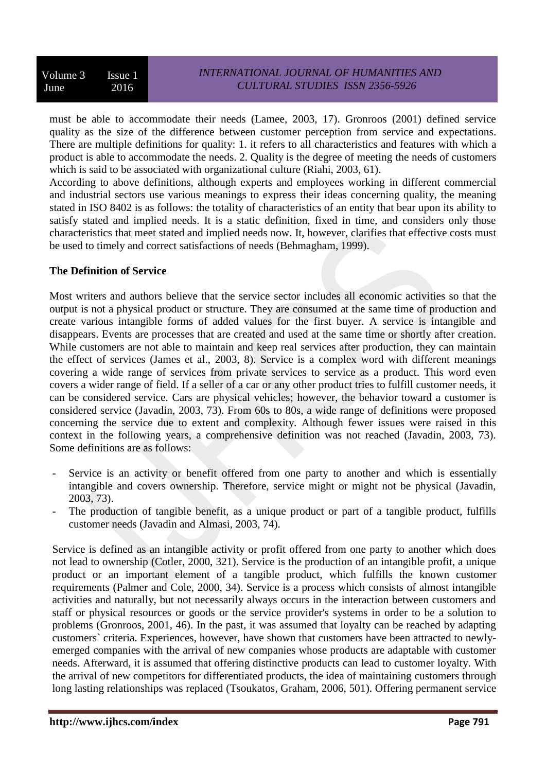must be able to accommodate their needs (Lamee, 2003, 17). Gronroos (2001) defined service quality as the size of the difference between customer perception from service and expectations. There are multiple definitions for quality: 1. it refers to all characteristics and features with which a product is able to accommodate the needs. 2. Quality is the degree of meeting the needs of customers which is said to be associated with organizational culture (Riahi, 2003, 61).

According to above definitions, although experts and employees working in different commercial and industrial sectors use various meanings to express their ideas concerning quality, the meaning stated in ISO 8402 is as follows: the totality of characteristics of an entity that bear upon its ability to satisfy stated and implied needs. It is a static definition, fixed in time, and considers only those characteristics that meet stated and implied needs now. It, however, clarifies that effective costs must be used to timely and correct satisfactions of needs (Behmagham, 1999).

## **The Definition of Service**

Most writers and authors believe that the service sector includes all economic activities so that the output is not a physical product or structure. They are consumed at the same time of production and create various intangible forms of added values for the first buyer. A service is intangible and disappears. Events are processes that are created and used at the same time or shortly after creation. While customers are not able to maintain and keep real services after production, they can maintain the effect of services (James et al., 2003, 8). Service is a complex word with different meanings covering a wide range of services from private services to service as a product. This word even covers a wider range of field. If a seller of a car or any other product tries to fulfill customer needs, it can be considered service. Cars are physical vehicles; however, the behavior toward a customer is considered service (Javadin, 2003, 73). From 60s to 80s, a wide range of definitions were proposed concerning the service due to extent and complexity. Although fewer issues were raised in this context in the following years, a comprehensive definition was not reached (Javadin, 2003, 73). Some definitions are as follows:

- Service is an activity or benefit offered from one party to another and which is essentially intangible and covers ownership. Therefore, service might or might not be physical (Javadin, 2003, 73).
- The production of tangible benefit, as a unique product or part of a tangible product, fulfills customer needs (Javadin and Almasi, 2003, 74).

Service is defined as an intangible activity or profit offered from one party to another which does not lead to ownership (Cotler, 2000, 321). Service is the production of an intangible profit, a unique product or an important element of a tangible product, which fulfills the known customer requirements (Palmer and Cole, 2000, 34). Service is a process which consists of almost intangible activities and naturally, but not necessarily always occurs in the interaction between customers and staff or physical resources or goods or the service provider's systems in order to be a solution to problems (Gronroos, 2001, 46). In the past, it was assumed that loyalty can be reached by adapting customers` criteria. Experiences, however, have shown that customers have been attracted to newlyemerged companies with the arrival of new companies whose products are adaptable with customer needs. Afterward, it is assumed that offering distinctive products can lead to customer loyalty. With the arrival of new competitors for differentiated products, the idea of maintaining customers through long lasting relationships was replaced (Tsoukatos, Graham, 2006, 501). Offering permanent service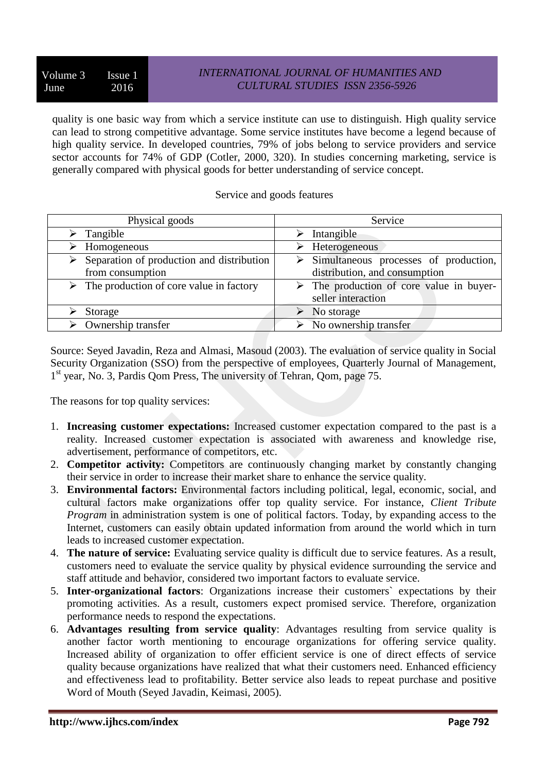quality is one basic way from which a service institute can use to distinguish. High quality service can lead to strong competitive advantage. Some service institutes have become a legend because of high quality service. In developed countries, 79% of jobs belong to service providers and service sector accounts for 74% of GDP (Cotler, 2000, 320). In studies concerning marketing, service is generally compared with physical goods for better understanding of service concept.

#### Service and goods features

| Physical goods                                             | Service                                                 |
|------------------------------------------------------------|---------------------------------------------------------|
| Tangible                                                   | Intangible                                              |
| Homogeneous                                                | $\triangleright$ Heterogeneous                          |
| $\triangleright$ Separation of production and distribution | $\triangleright$ Simultaneous processes of production,  |
| from consumption                                           | distribution, and consumption                           |
| $\triangleright$ The production of core value in factory   | $\triangleright$ The production of core value in buyer- |
|                                                            | seller interaction                                      |
| Storage                                                    | $\triangleright$ No storage                             |
| $\triangleright$ Ownership transfer                        | $\triangleright$ No ownership transfer                  |

Source: Seyed Javadin, Reza and Almasi, Masoud (2003). The evaluation of service quality in Social Security Organization (SSO) from the perspective of employees, Quarterly Journal of Management, 1<sup>st</sup> year, No. 3, Pardis Qom Press, The university of Tehran, Qom, page 75.

The reasons for top quality services:

- 1. **Increasing customer expectations:** Increased customer expectation compared to the past is a reality. Increased customer expectation is associated with awareness and knowledge rise, advertisement, performance of competitors, etc.
- 2. **Competitor activity:** Competitors are continuously changing market by constantly changing their service in order to increase their market share to enhance the service quality.
- 3. **Environmental factors:** Environmental factors including political, legal, economic, social, and cultural factors make organizations offer top quality service. For instance, *Client Tribute Program* in administration system is one of political factors. Today, by expanding access to the Internet, customers can easily obtain updated information from around the world which in turn leads to increased customer expectation.
- 4. **The nature of service:** Evaluating service quality is difficult due to service features. As a result, customers need to evaluate the service quality by physical evidence surrounding the service and staff attitude and behavior, considered two important factors to evaluate service.
- 5. **Inter-organizational factors**: Organizations increase their customers` expectations by their promoting activities. As a result, customers expect promised service. Therefore, organization performance needs to respond the expectations.
- 6. **Advantages resulting from service quality**: Advantages resulting from service quality is another factor worth mentioning to encourage organizations for offering service quality. Increased ability of organization to offer efficient service is one of direct effects of service quality because organizations have realized that what their customers need. Enhanced efficiency and effectiveness lead to profitability. Better service also leads to repeat purchase and positive Word of Mouth (Seyed Javadin, Keimasi, 2005).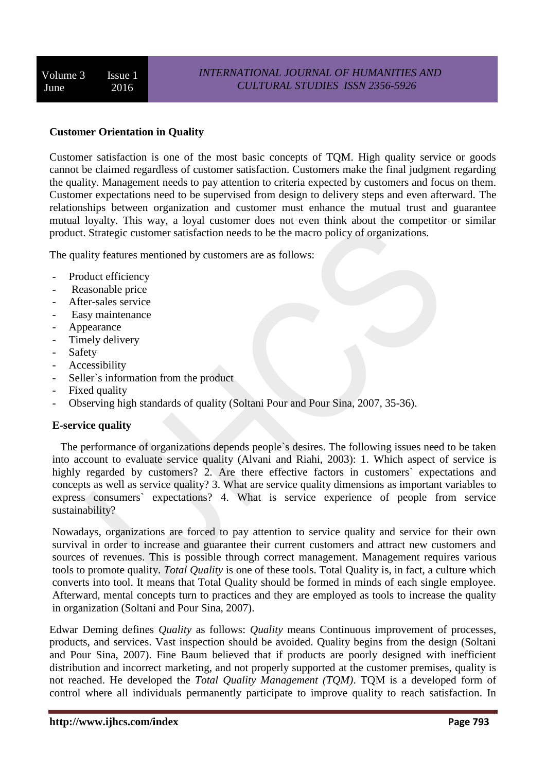## **Customer Orientation in Quality**

Customer satisfaction is one of the most basic concepts of TQM. High quality service or goods cannot be claimed regardless of customer satisfaction. Customers make the final judgment regarding the quality. Management needs to pay attention to criteria expected by customers and focus on them. Customer expectations need to be supervised from design to delivery steps and even afterward. The relationships between organization and customer must enhance the mutual trust and guarantee mutual loyalty. This way, a loyal customer does not even think about the competitor or similar product. Strategic customer satisfaction needs to be the macro policy of organizations.

The quality features mentioned by customers are as follows:

- Product efficiency
- Reasonable price
- After-sales service
- Easy maintenance
- Appearance
- Timely delivery
- Safety
- Accessibility
- Seller`s information from the product
- Fixed quality
- Observing high standards of quality (Soltani Pour and Pour Sina, 2007, 35-36).

## **E-service quality**

 The performance of organizations depends people`s desires. The following issues need to be taken into account to evaluate service quality (Alvani and Riahi, 2003): 1. Which aspect of service is highly regarded by customers? 2. Are there effective factors in customers` expectations and concepts as well as service quality? 3. What are service quality dimensions as important variables to express consumers` expectations? 4. What is service experience of people from service sustainability?

Nowadays, organizations are forced to pay attention to service quality and service for their own survival in order to increase and guarantee their current customers and attract new customers and sources of revenues. This is possible through correct management. Management requires various tools to promote quality. *Total Quality* is one of these tools. Total Quality is, in fact, a culture which converts into tool. It means that Total Quality should be formed in minds of each single employee. Afterward, mental concepts turn to practices and they are employed as tools to increase the quality in organization (Soltani and Pour Sina, 2007).

Edwar Deming defines *Quality* as follows: *Quality* means Continuous improvement of processes, products, and services. Vast inspection should be avoided. Quality begins from the design (Soltani and Pour Sina, 2007). Fine Baum believed that if products are poorly designed with inefficient distribution and incorrect marketing, and not properly supported at the customer premises, quality is not reached. He developed the *Total Quality Management (TQM)*. TQM is a developed form of control where all individuals permanently participate to improve quality to reach satisfaction. In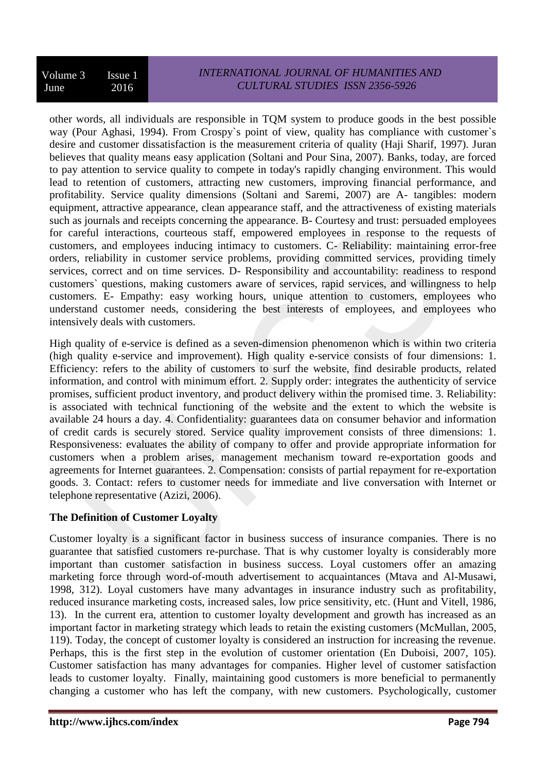other words, all individuals are responsible in TQM system to produce goods in the best possible way (Pour Aghasi, 1994). From Crospy`s point of view, quality has compliance with customer`s desire and customer dissatisfaction is the measurement criteria of quality (Haji Sharif, 1997). Juran believes that quality means easy application (Soltani and Pour Sina, 2007). Banks, today, are forced to pay attention to service quality to compete in today's rapidly changing environment. This would lead to retention of customers, attracting new customers, improving financial performance, and profitability. Service quality dimensions (Soltani and Saremi, 2007) are A- tangibles: modern equipment, attractive appearance, clean appearance staff, and the attractiveness of existing materials such as journals and receipts concerning the appearance. B- Courtesy and trust: persuaded employees for careful interactions, courteous staff, empowered employees in response to the requests of customers, and employees inducing intimacy to customers. C- Reliability: maintaining error-free orders, reliability in customer service problems, providing committed services, providing timely services, correct and on time services. D- Responsibility and accountability: readiness to respond customers` questions, making customers aware of services, rapid services, and willingness to help customers. E- Empathy: easy working hours, unique attention to customers, employees who understand customer needs, considering the best interests of employees, and employees who intensively deals with customers.

High quality of e-service is defined as a seven-dimension phenomenon which is within two criteria (high quality e-service and improvement). High quality e-service consists of four dimensions: 1. Efficiency: refers to the ability of customers to surf the website, find desirable products, related information, and control with minimum effort. 2. Supply order: integrates the authenticity of service promises, sufficient product inventory, and product delivery within the promised time. 3. Reliability: is associated with technical functioning of the website and the extent to which the website is available 24 hours a day. 4. Confidentiality: guarantees data on consumer behavior and information of credit cards is securely stored. Service quality improvement consists of three dimensions: 1. Responsiveness: evaluates the ability of company to offer and provide appropriate information for customers when a problem arises, management mechanism toward re-exportation goods and agreements for Internet guarantees. 2. Compensation: consists of partial repayment for re-exportation goods. 3. Contact: refers to customer needs for immediate and live conversation with Internet or telephone representative (Azizi, 2006).

# **The Definition of Customer Loyalty**

Customer loyalty is a significant factor in business success of insurance companies. There is no guarantee that satisfied customers re-purchase. That is why customer loyalty is considerably more important than customer satisfaction in business success. Loyal customers offer an amazing marketing force through word-of-mouth advertisement to acquaintances (Mtava and Al-Musawi, 1998, 312). Loyal customers have many advantages in insurance industry such as profitability, reduced insurance marketing costs, increased sales, low price sensitivity, etc. (Hunt and Vitell, 1986, 13). In the current era, attention to customer loyalty development and growth has increased as an important factor in marketing strategy which leads to retain the existing customers (McMullan, 2005, 119). Today, the concept of customer loyalty is considered an instruction for increasing the revenue. Perhaps, this is the first step in the evolution of customer orientation (En Duboisi, 2007, 105). Customer satisfaction has many advantages for companies. Higher level of customer satisfaction leads to customer loyalty. Finally, maintaining good customers is more beneficial to permanently changing a customer who has left the company, with new customers. Psychologically, customer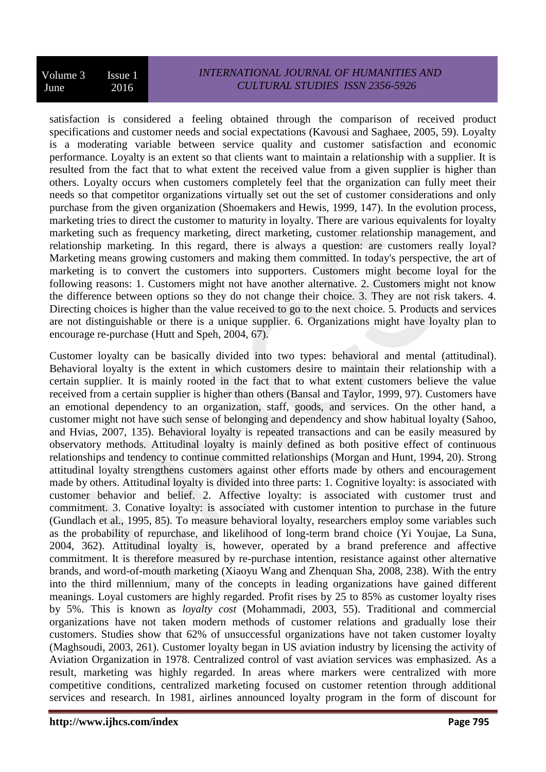satisfaction is considered a feeling obtained through the comparison of received product specifications and customer needs and social expectations (Kavousi and Saghaee, 2005, 59). Loyalty is a moderating variable between service quality and customer satisfaction and economic performance. Loyalty is an extent so that clients want to maintain a relationship with a supplier. It is resulted from the fact that to what extent the received value from a given supplier is higher than others. Loyalty occurs when customers completely feel that the organization can fully meet their needs so that competitor organizations virtually set out the set of customer considerations and only purchase from the given organization (Shoemakers and Hewis, 1999, 147). In the evolution process, marketing tries to direct the customer to maturity in loyalty. There are various equivalents for loyalty marketing such as frequency marketing, direct marketing, customer relationship management, and relationship marketing. In this regard, there is always a question: are customers really loyal? Marketing means growing customers and making them committed. In today's perspective, the art of marketing is to convert the customers into supporters. Customers might become loyal for the following reasons: 1. Customers might not have another alternative. 2. Customers might not know the difference between options so they do not change their choice. 3. They are not risk takers. 4. Directing choices is higher than the value received to go to the next choice. 5. Products and services are not distinguishable or there is a unique supplier. 6. Organizations might have loyalty plan to encourage re-purchase (Hutt and Speh, 2004, 67).

Customer loyalty can be basically divided into two types: behavioral and mental (attitudinal). Behavioral loyalty is the extent in which customers desire to maintain their relationship with a certain supplier. It is mainly rooted in the fact that to what extent customers believe the value received from a certain supplier is higher than others (Bansal and Taylor, 1999, 97). Customers have an emotional dependency to an organization, staff, goods, and services. On the other hand, a customer might not have such sense of belonging and dependency and show habitual loyalty (Sahoo, and Hvias, 2007, 135). Behavioral loyalty is repeated transactions and can be easily measured by observatory methods. Attitudinal loyalty is mainly defined as both positive effect of continuous relationships and tendency to continue committed relationships (Morgan and Hunt, 1994, 20). Strong attitudinal loyalty strengthens customers against other efforts made by others and encouragement made by others. Attitudinal loyalty is divided into three parts: 1. Cognitive loyalty: is associated with customer behavior and belief. 2. Affective loyalty: is associated with customer trust and commitment. 3. Conative loyalty: is associated with customer intention to purchase in the future (Gundlach et al., 1995, 85). To measure behavioral loyalty, researchers employ some variables such as the probability of repurchase, and likelihood of long-term brand choice (Yi Youjae, La Suna, 2004, 362). Attitudinal loyalty is, however, operated by a brand preference and affective commitment. It is therefore measured by re-purchase intention, resistance against other alternative brands, and word-of-mouth marketing (Xiaoyu Wang and Zhenquan Sha, 2008, 238). With the entry into the third millennium, many of the concepts in leading organizations have gained different meanings. Loyal customers are highly regarded. Profit rises by 25 to 85% as customer loyalty rises by 5%. This is known as *loyalty cost* (Mohammadi, 2003, 55). Traditional and commercial organizations have not taken modern methods of customer relations and gradually lose their customers. Studies show that 62% of unsuccessful organizations have not taken customer loyalty (Maghsoudi, 2003, 261). Customer loyalty began in US aviation industry by licensing the activity of Aviation Organization in 1978. Centralized control of vast aviation services was emphasized. As a result, marketing was highly regarded. In areas where markers were centralized with more competitive conditions, centralized marketing focused on customer retention through additional services and research. In 1981, airlines announced loyalty program in the form of discount for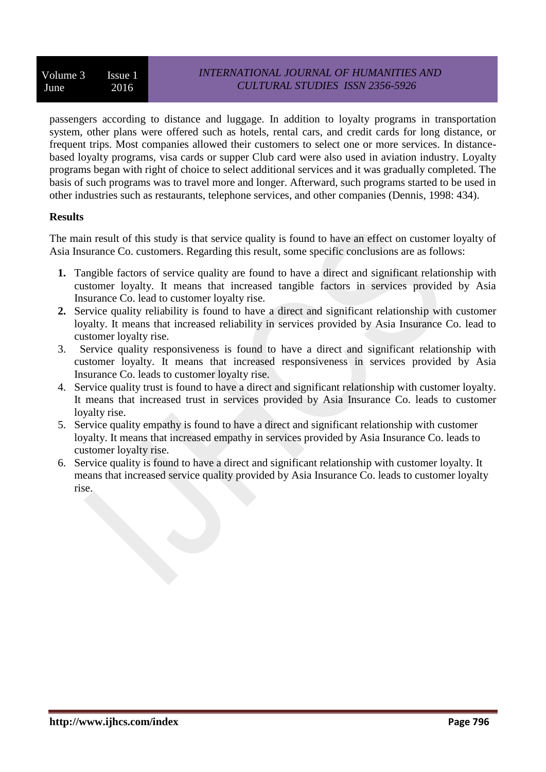passengers according to distance and luggage. In addition to loyalty programs in transportation system, other plans were offered such as hotels, rental cars, and credit cards for long distance, or frequent trips. Most companies allowed their customers to select one or more services. In distancebased loyalty programs, visa cards or supper Club card were also used in aviation industry. Loyalty programs began with right of choice to select additional services and it was gradually completed. The basis of such programs was to travel more and longer. Afterward, such programs started to be used in other industries such as restaurants, telephone services, and other companies (Dennis, 1998: 434).

## **Results**

The main result of this study is that service quality is found to have an effect on customer loyalty of Asia Insurance Co. customers. Regarding this result, some specific conclusions are as follows:

- **1.** Tangible factors of service quality are found to have a direct and significant relationship with customer loyalty. It means that increased tangible factors in services provided by Asia Insurance Co. lead to customer loyalty rise.
- **2.** Service quality reliability is found to have a direct and significant relationship with customer loyalty. It means that increased reliability in services provided by Asia Insurance Co. lead to customer loyalty rise.
- 3. Service quality responsiveness is found to have a direct and significant relationship with customer loyalty. It means that increased responsiveness in services provided by Asia Insurance Co. leads to customer loyalty rise.
- 4. Service quality trust is found to have a direct and significant relationship with customer loyalty. It means that increased trust in services provided by Asia Insurance Co. leads to customer loyalty rise.
- 5. Service quality empathy is found to have a direct and significant relationship with customer loyalty. It means that increased empathy in services provided by Asia Insurance Co. leads to customer loyalty rise.
- 6. Service quality is found to have a direct and significant relationship with customer loyalty. It means that increased service quality provided by Asia Insurance Co. leads to customer loyalty rise.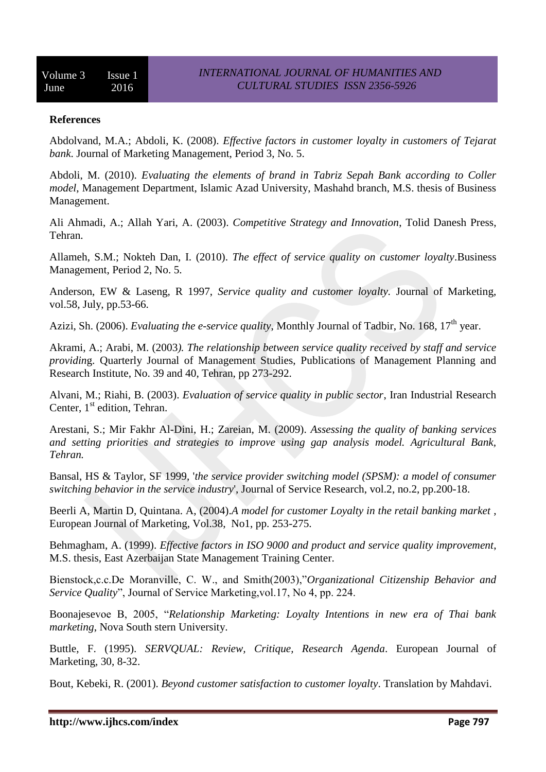#### **References**

Abdolvand, M.A.; Abdoli, K. (2008). *Effective factors in customer loyalty in customers of Tejarat bank*. Journal of Marketing Management, Period 3, No. 5.

Abdoli, M. (2010). *Evaluating the elements of brand in Tabriz Sepah Bank according to Coller model*, Management Department, Islamic Azad University, Mashahd branch, M.S. thesis of Business Management.

Ali Ahmadi, A.; Allah Yari, A. (2003). *Competitive Strategy and Innovation*, Tolid Danesh Press, Tehran.

Allameh, S.M.; Nokteh Dan, I. (2010). *The effect of service quality on customer loyalty*.Business Management, Period 2, No. 5.

Anderson, EW & Laseng, R 1997, *Service quality and customer loyalty.* Journal of Marketing, vol.58, July, pp.53-66.

Azizi, Sh. (2006). *Evaluating the e-service quality*, Monthly Journal of Tadbir, No. 168, 17<sup>th</sup> year.

Akrami, A.; Arabi, M. (2003*). The relationship between service quality received by staff and service providin*g. Quarterly Journal of Management Studies, Publications of Management Planning and Research Institute, No. 39 and 40, Tehran, pp 273-292.

Alvani, M.; Riahi, B. (2003). *Evaluation of service quality in public sector*, Iran Industrial Research Center,  $1<sup>st</sup>$  edition, Tehran.

Arestani, S.; Mir Fakhr Al-Dini, H.; Zareian, M. (2009). *Assessing the quality of banking services and setting priorities and strategies to improve using gap analysis model. Agricultural Bank, Tehran.*

Bansal, HS & Taylor, SF 1999, '*the service provider switching model (SPSM): a model of consumer switching behavior in the service industry*', Journal of Service Research, vol.2, no.2, pp.200-18.

Beerli A, Martin D, Quintana. A, (2004).*A model for customer Loyalty in the retail banking market* , European Journal of Marketing, Vol.38, No1, pp. 253-275.

Behmagham, A. (1999). *Effective factors in ISO 9000 and product and service quality improvement*, M.S. thesis, East Azerbaijan State Management Training Center.

Bienstock,c.c.De Moranville, C. W., and Smith(2003),"*Organizational Citizenship Behavior and Service Quality*", Journal of Service Marketing,vol.17, No 4, pp. 224.

Boonajesevoe B, 2005, "*Relationship Marketing: Loyalty Intentions in new era of Thai bank marketing*, Nova South stern University.

Buttle, F. (1995). *SERVQUAL: Review, Critique, Research Agenda*. European Journal of Marketing, 30, 8-32.

Bout, Kebeki, R. (2001). *Beyond customer satisfaction to customer loyalty*. Translation by Mahdavi.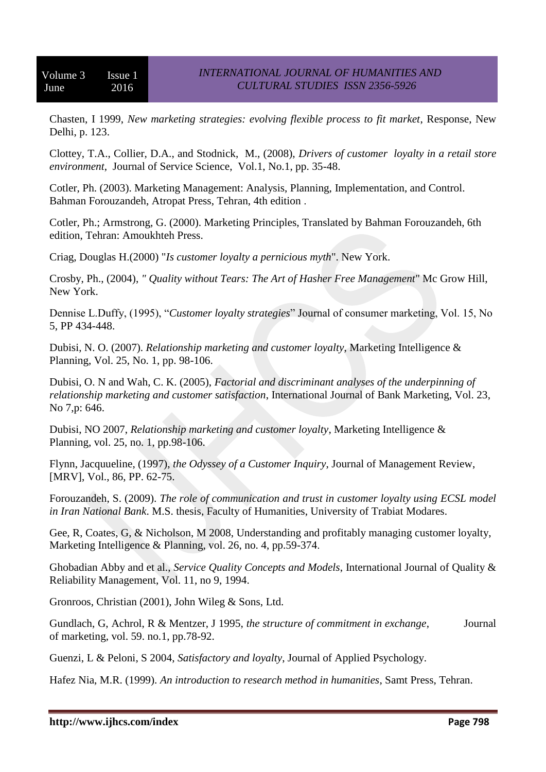Chasten, I 1999, *New marketing strategies: evolving flexible process to fit market*, Response, New Delhi, p. 123.

Clottey, T.A., Collier, D.A., and Stodnick, M., (2008), *Drivers of customer loyalty in a retail store environment*, Journal of Service Science, Vol.1, No.1, pp. 35-48.

Cotler, Ph. (2003). Marketing Management: Analysis, Planning, Implementation, and Control. Bahman Forouzandeh, Atropat Press, Tehran, 4th edition .

Cotler, Ph.; Armstrong, G. (2000). Marketing Principles, Translated by Bahman Forouzandeh, 6th edition, Tehran: Amoukhteh Press.

Criag, Douglas H.(2000) "*Is customer loyalty a pernicious myth*". New York.

Crosby, Ph., (2004), *" Quality without Tears: The Art of Hasher Free Management*" Mc Grow Hill, New York.

Dennise L.Duffy, (1995), "*Customer loyalty strategies*" Journal of consumer marketing, Vol. 15, No 5, PP 434-448.

Dubisi, N. O. (2007). *Relationship marketing and customer loyalty*, Marketing Intelligence & Planning, Vol. 25, No. 1, pp. 98-106.

Dubisi, O. N and Wah, C. K. (2005), *Factorial and discriminant analyses of the underpinning of relationship marketing and customer satisfaction*, International Journal of Bank Marketing, Vol. 23, No 7,p: 646.

Dubisi, NO 2007, *Relationship marketing and customer loyalty*, Marketing Intelligence & Planning, vol. 25, no. 1, pp.98-106.

Flynn, Jacquueline, (1997), *the Odyssey of a Customer Inquiry*, Journal of Management Review, [MRV], Vol., 86, PP. 62-75.

Forouzandeh, S. (2009). *The role of communication and trust in customer loyalty using ECSL model in Iran National Bank*. M.S. thesis, Faculty of Humanities, University of Trabiat Modares.

Gee, R, Coates, G, & Nicholson, M 2008, Understanding and profitably managing customer loyalty, Marketing Intelligence & Planning, vol. 26, no. 4, pp.59-374.

Ghobadian Abby and et al., *Service Quality Concepts and Models*, International Journal of Quality & Reliability Management, Vol. 11, no 9, 1994.

Gronroos, Christian (2001), John Wileg & Sons, Ltd.

Gundlach, G, Achrol, R & Mentzer, J 1995, *the structure of commitment in exchange*, Journal of marketing, vol. 59. no.1, pp.78-92.

Guenzi, L & Peloni, S 2004, *Satisfactory and loyalty*, Journal of Applied Psychology.

Hafez Nia, M.R. (1999). *An introduction to research method in humanities*, Samt Press, Tehran.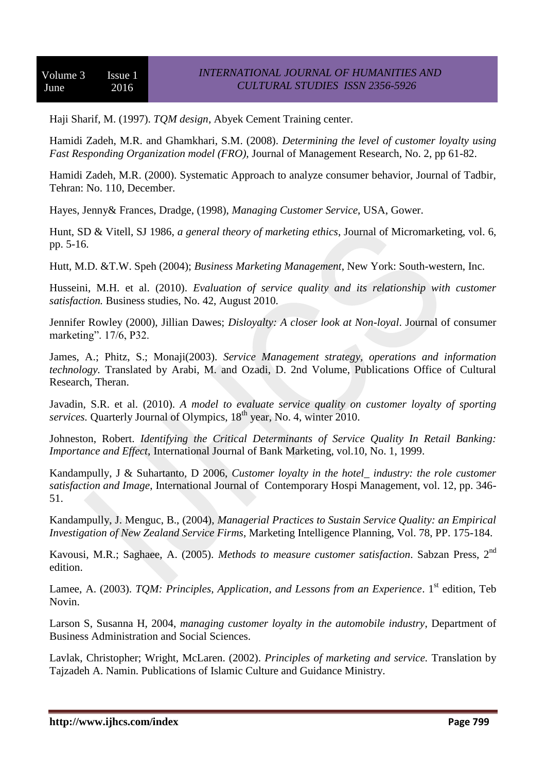Haji Sharif, M. (1997). *TQM design*, Abyek Cement Training center.

Hamidi Zadeh, M.R. and Ghamkhari, S.M. (2008). *Determining the level of customer loyalty using Fast Responding Organization model (FRO),* Journal of Management Research, No. 2, pp 61-82.

Hamidi Zadeh, M.R. (2000). Systematic Approach to analyze consumer behavior, Journal of Tadbir, Tehran: No. 110, December.

Hayes, Jenny& Frances, Dradge, (1998), *Managing Customer Service*, USA, Gower.

Hunt, SD & Vitell, SJ 1986, *a general theory of marketing ethics*, Journal of Micromarketing, vol. 6, pp. 5-16.

Hutt, M.D. &T.W. Speh (2004); *Business Marketing Management*, New York: South-western, Inc.

Husseini, M.H. et al. (2010). *Evaluation of service quality and its relationship with customer satisfaction.* Business studies, No. 42, August 2010.

Jennifer Rowley (2000), Jillian Dawes; *Disloyalty: A closer look at Non-loyal*. Journal of consumer marketing". 17/6, P32.

James, A.; Phitz, S.; Monaji(2003). *Service Management strategy, operations and information technology.* Translated by Arabi, M. and Ozadi, D. 2nd Volume, Publications Office of Cultural Research, Theran.

Javadin, S.R. et al. (2010). *A model to evaluate service quality on customer loyalty of sporting services.* Quarterly Journal of Olympics,  $18<sup>th</sup>$  year, No. 4, winter 2010.

Johneston, Robert. *Identifying the Critical Determinants of Service Quality In Retail Banking: Importance and Effect*, International Journal of Bank Marketing, vol.10, No. 1, 1999.

Kandampully, J & Suhartanto, D 2006, *Customer loyalty in the hotel\_ industry: the role customer satisfaction and Image*, International Journal of Contemporary Hospi Management, vol. 12, pp. 346- 51.

Kandampully, J. Menguc, B., (2004), *Managerial Practices to Sustain Service Quality: an Empirical Investigation of New Zealand Service Firms*, Marketing Intelligence Planning, Vol. 78, PP. 175-184.

Kavousi, M.R.; Saghaee, A. (2005). *Methods to measure customer satisfaction*. Sabzan Press, 2nd edition.

Lamee, A. (2003). *TOM: Principles, Application, and Lessons from an Experience*. 1<sup>st</sup> edition, Teb Novin.

Larson S, Susanna H, 2004, *managing customer loyalty in the automobile industry*, Department of Business Administration and Social Sciences.

Lavlak, Christopher; Wright, McLaren. (2002). *Principles of marketing and service.* Translation by Tajzadeh A. Namin. Publications of Islamic Culture and Guidance Ministry.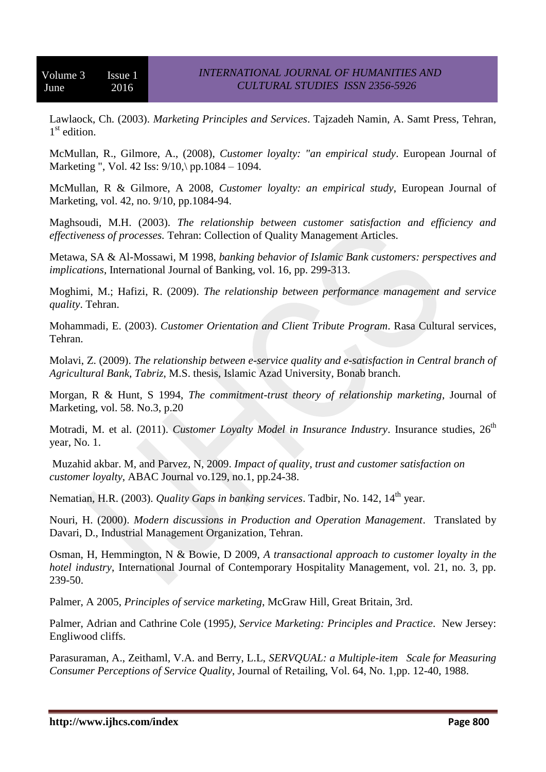Lawlaock, Ch. (2003). *Marketing Principles and Services*. Tajzadeh Namin, A. Samt Press, Tehran, 1<sup>st</sup> edition.

McMullan, R., Gilmore, A., (2008), *Customer loyalty: "an empirical study*. European Journal of Marketing ", Vol. 42 Iss:  $9/10$ , pp.1084 – 1094.

McMullan, R & Gilmore, A 2008, *Customer loyalty: an empirical study*, European Journal of Marketing, vol. 42, no. 9/10, pp.1084-94.

Maghsoudi, M.H. (2003). *The relationship between customer satisfaction and efficiency and effectiveness of processes.* Tehran: Collection of Quality Management Articles.

Metawa, SA & Al-Mossawi, M 1998, *banking behavior of Islamic Bank customers: perspectives and implications*, International Journal of Banking, vol. 16, pp. 299-313.

Moghimi, M.; Hafizi, R. (2009). *The relationship between performance management and service quality*. Tehran.

Mohammadi, E. (2003). *Customer Orientation and Client Tribute Program*. Rasa Cultural services, Tehran.

Molavi, Z. (2009). *The relationship between e-service quality and e-satisfaction in Central branch of Agricultural Bank, Tabriz*, M.S. thesis, Islamic Azad University, Bonab branch.

Morgan, R & Hunt, S 1994, *The commitment-trust theory of relationship marketing*, Journal of Marketing, vol. 58. No.3, p.20

Motradi, M. et al. (2011). *Customer Loyalty Model in Insurance Industry*. Insurance studies, 26<sup>th</sup> year, No. 1.

Muzahid akbar. M, and Parvez, N, 2009. *Impact of quality, trust and customer satisfaction on customer loyalty*, ABAC Journal vo.129, no.1, pp.24-38.

Nematian, H.R. (2003). *Quality Gaps in banking services*. Tadbir, No. 142, 14<sup>th</sup> year.

Nouri, H. (2000). *Modern discussions in Production and Operation Management*. Translated by Davari, D., Industrial Management Organization, Tehran.

Osman, H, Hemmington, N & Bowie, D 2009, *A transactional approach to customer loyalty in the hotel industry*, International Journal of Contemporary Hospitality Management, vol. 21, no. 3, pp. 239-50.

Palmer, A 2005, *Principles of service marketing*, McGraw Hill, Great Britain, 3rd.

Palmer, Adrian and Cathrine Cole (1995*), Service Marketing: Principles and Practice*. New Jersey: Engliwood cliffs.

Parasuraman, A., Zeithaml, V.A. and Berry, L.L, *SERVQUAL: a Multiple-item Scale for Measuring Consumer Perceptions of Service Quality*, Journal of Retailing, Vol. 64, No. 1,pp. 12-40, 1988.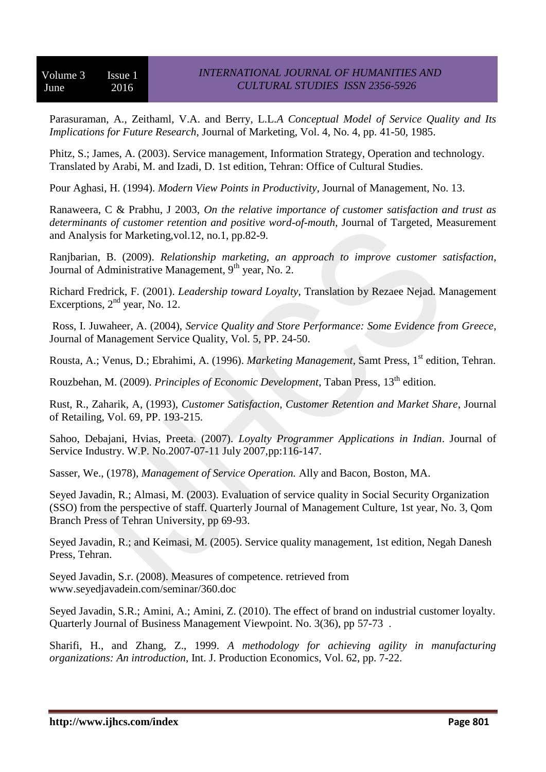Parasuraman, A., Zeithaml, V.A. and Berry, L.L.*A Conceptual Model of Service Quality and Its Implications for Future Research*, Journal of Marketing, Vol. 4, No. 4, pp. 41-50, 1985.

Phitz, S.; James, A. (2003). Service management, Information Strategy, Operation and technology. Translated by Arabi, M. and Izadi, D. 1st edition, Tehran: Office of Cultural Studies.

Pour Aghasi, H. (1994). *Modern View Points in Productivity*, Journal of Management, No. 13.

Ranaweera, C & Prabhu, J 2003, *On the relative importance of customer satisfaction and trust as determinants of customer retention and positive word-of-mouth*, Journal of Targeted, Measurement and Analysis for Marketing,vol.12, no.1, pp.82-9.

Ranjbarian, B. (2009). *Relationship marketing, an approach to improve customer satisfaction*, Journal of Administrative Management, 9<sup>th</sup> year, No. 2.

Richard Fredrick, F. (2001). *Leadership toward Loyalty*, Translation by Rezaee Nejad. Management Excerptions,  $2<sup>nd</sup>$  year, No. 12.

Ross, I. Juwaheer, A. (2004), *Service Quality and Store Performance: Some Evidence from Greece*, Journal of Management Service Quality, Vol. 5, PP. 24-50.

Rousta, A.; Venus, D.; Ebrahimi, A. (1996). *Marketing Management*, Samt Press, 1<sup>st</sup> edition, Tehran.

Rouzbehan, M. (2009). *Principles of Economic Development*, Taban Press, 13<sup>th</sup> edition.

Rust, R., Zaharik, A, (1993), *Customer Satisfaction, Customer Retention and Market Share*, Journal of Retailing, Vol. 69, PP. 193-215.

Sahoo, Debajani, Hvias, Preeta. (2007). *Loyalty Programmer Applications in Indian*. Journal of Service Industry. W.P. No.2007-07-11 July 2007,pp:116-147.

Sasser, We., (1978), *Management of Service Operation.* Ally and Bacon, Boston, MA.

Seyed Javadin, R.; Almasi, M. (2003). Evaluation of service quality in Social Security Organization (SSO) from the perspective of staff. Quarterly Journal of Management Culture, 1st year, No. 3, Qom Branch Press of Tehran University, pp 69-93.

Seyed Javadin, R.; and Keimasi, M. (2005). Service quality management, 1st edition, Negah Danesh Press, Tehran.

Seyed Javadin, S.r. (2008). Measures of competence. retrieved from www.seyedjavadein.com/seminar/360.doc

Seyed Javadin, S.R.; Amini, A.; Amini, Z. (2010). The effect of brand on industrial customer loyalty. Quarterly Journal of Business Management Viewpoint. No. 3(36), pp 57-73 .

Sharifi, H., and Zhang, Z., 1999. *A methodology for achieving agility in manufacturing organizations: An introduction*, Int. J. Production Economics, Vol. 62, pp. 7-22.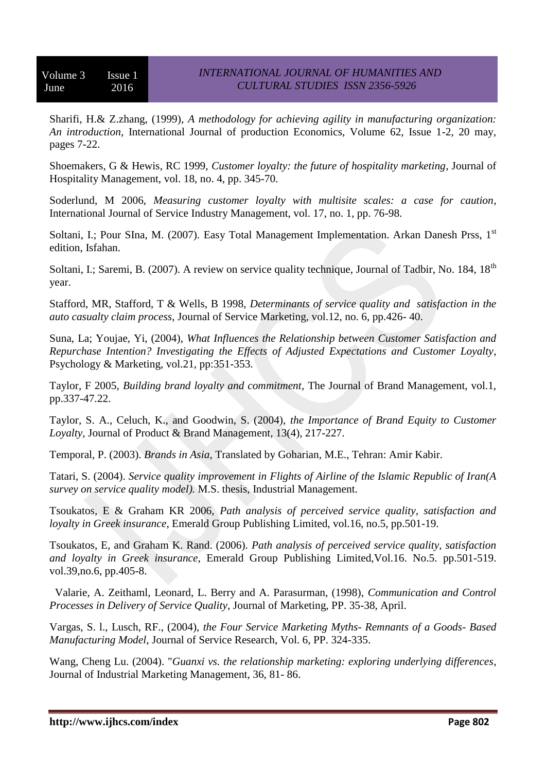Sharifi, H.& Z.zhang, (1999), *A methodology for achieving agility in manufacturing organization: An introduction*, International Journal of production Economics, Volume 62, Issue 1-2, 20 may, pages 7-22.

Shoemakers, G & Hewis, RC 1999, *Customer loyalty: the future of hospitality marketing*, Journal of Hospitality Management, vol. 18, no. 4, pp. 345-70.

Soderlund, M 2006, *Measuring customer loyalty with multisite scales: a case for caution*, International Journal of Service Industry Management, vol. 17, no. 1, pp. 76-98.

Soltani, I.; Pour SIna, M. (2007). Easy Total Management Implementation. Arkan Danesh Prss, 1<sup>st</sup> edition, Isfahan.

Soltani, I.; Saremi, B. (2007). A review on service quality technique, Journal of Tadbir, No. 184, 18<sup>th</sup> year.

Stafford, MR, Stafford, T & Wells, B 1998, *Determinants of service quality and satisfaction in the auto casualty claim process*, Journal of Service Marketing, vol.12, no. 6, pp.426- 40.

Suna, La; Youjae, Yi, (2004), *What Influences the Relationship between Customer Satisfaction and Repurchase Intention? Investigating the Effects of Adjusted Expectations and Customer Loyalty*, Psychology & Marketing, vol.21, pp:351-353.

Taylor, F 2005*, Building brand loyalty and commitment*, The Journal of Brand Management, vol.1, pp.337-47.22.

Taylor, S. A., Celuch, K., and Goodwin, S. (2004), *the Importance of Brand Equity to Customer Loyalty*, Journal of Product & Brand Management, 13(4), 217-227.

Temporal, P. (2003). *Brands in Asia*, Translated by Goharian, M.E., Tehran: Amir Kabir.

Tatari, S. (2004). *Service quality improvement in Flights of Airline of the Islamic Republic of Iran(A survey on service quality model).* M.S. thesis, Industrial Management.

Tsoukatos, E & Graham KR 2006, *Path analysis of perceived service quality, satisfaction and loyalty in Greek insurance*, Emerald Group Publishing Limited, vol.16, no.5, pp.501-19.

Tsoukatos, E, and Graham K. Rand. (2006). *Path analysis of perceived service quality, satisfaction and loyalty in Greek insurance*, Emerald Group Publishing Limited,Vol.16. No.5. pp.501-519. vol.39,no.6, pp.405-8.

 Valarie, A. Zeithaml, Leonard, L. Berry and A. Parasurman, (1998), *Communication and Control Processes in Delivery of Service Quality*, Journal of Marketing, PP. 35-38, April.

Vargas, S. l., Lusch, RF., (2004), *the Four Service Marketing Myths- Remnants of a Goods- Based Manufacturing Model,* Journal of Service Research, Vol. 6, PP. 324-335.

Wang, Cheng Lu. (2004). "*Guanxi vs. the relationship marketing: exploring underlying differences*, Journal of Industrial Marketing Management, 36, 81- 86.